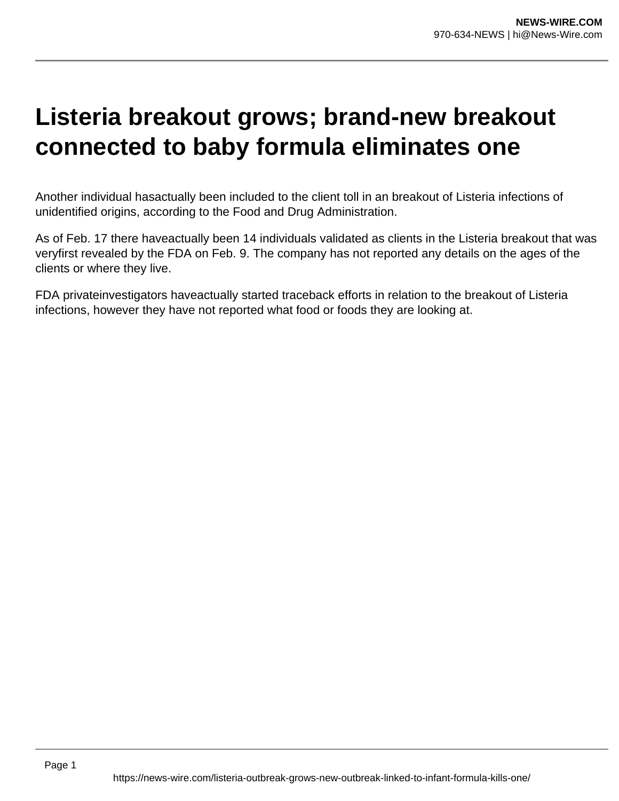## **Listeria breakout grows; brand-new breakout connected to baby formula eliminates one**

Another individual hasactually been included to the client toll in an breakout of Listeria infections of unidentified origins, according to the Food and Drug Administration.

As of Feb. 17 there haveactually been 14 individuals validated as clients in the Listeria breakout that was veryfirst revealed by the FDA on Feb. 9. The company has not reported any details on the ages of the clients or where they live.

FDA privateinvestigators haveactually started traceback efforts in relation to the breakout of Listeria infections, however they have not reported what food or foods they are looking at.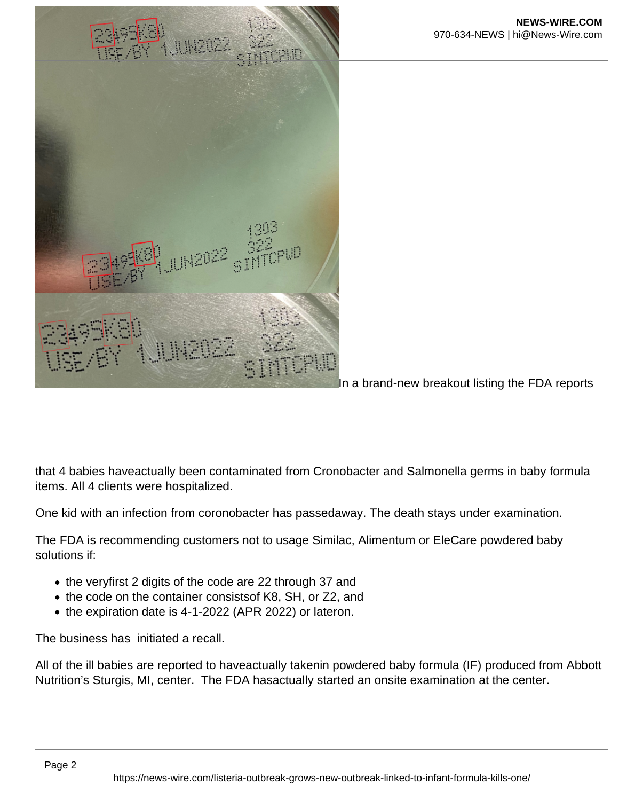

In a brand-new breakout listing the FDA reports

that 4 babies haveactually been contaminated from Cronobacter and Salmonella germs in baby formula items. All 4 clients were hospitalized.

One kid with an infection from coronobacter has passedaway. The death stays under examination.

The FDA is recommending customers not to usage Similac, Alimentum or EleCare powdered baby solutions if:

- the veryfirst 2 digits of the code are 22 through 37 and
- the code on the container consistsof K8, SH, or Z2, and
- the expiration date is 4-1-2022 (APR 2022) or lateron.

The business has initiated a recall.

All of the ill babies are reported to haveactually takenin powdered baby formula (IF) produced from Abbott Nutrition's Sturgis, MI, center. The FDA hasactually started an onsite examination at the center.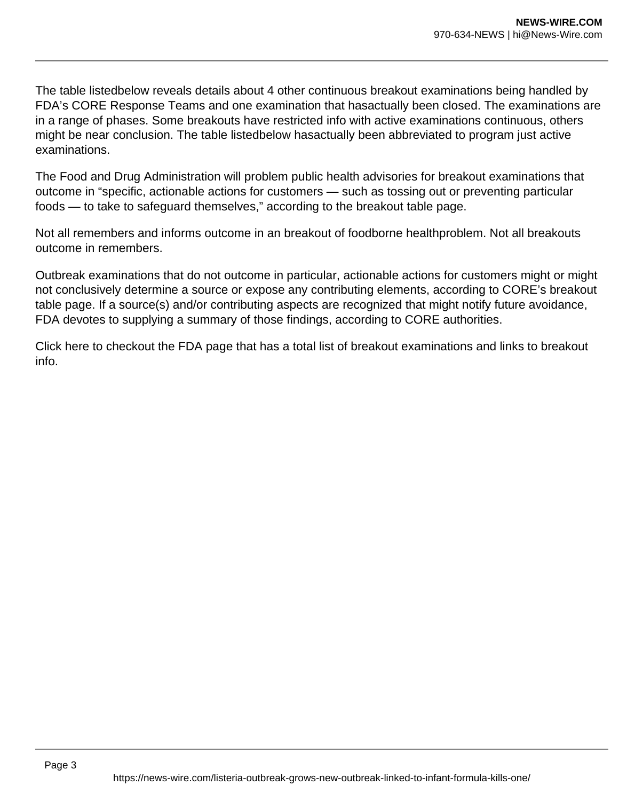The table listedbelow reveals details about 4 other continuous breakout examinations being handled by FDA's CORE Response Teams and one examination that hasactually been closed. The examinations are in a range of phases. Some breakouts have restricted info with active examinations continuous, others might be near conclusion. The table listedbelow hasactually been abbreviated to program just active examinations.

The Food and Drug Administration will problem public health advisories for breakout examinations that outcome in "specific, actionable actions for customers — such as tossing out or preventing particular foods — to take to safeguard themselves," according to the breakout table page.

Not all remembers and informs outcome in an breakout of foodborne healthproblem. Not all breakouts outcome in remembers.

Outbreak examinations that do not outcome in particular, actionable actions for customers might or might not conclusively determine a source or expose any contributing elements, according to CORE's breakout table page. If a source(s) and/or contributing aspects are recognized that might notify future avoidance, FDA devotes to supplying a summary of those findings, according to CORE authorities.

Click here to checkout the FDA page that has a total list of breakout examinations and links to breakout info.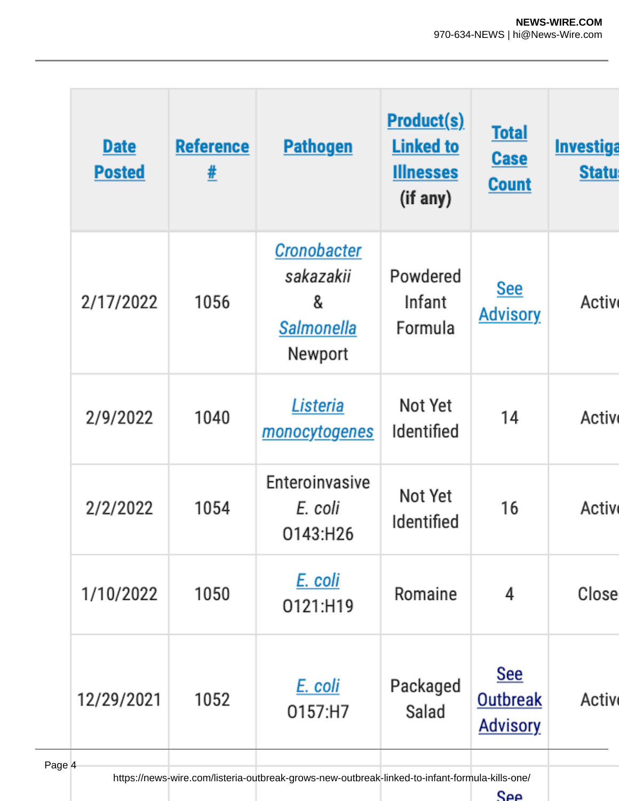| <b>Date</b><br><b>Posted</b>                                                                                     | <b>Reference</b><br># | <b>Pathogen</b>                                               | <b>Product(s)</b><br><b>Linked to</b><br><b>Illnesses</b><br>(if any) | <b>Total</b><br><b>Case</b><br><b>Count</b> | <b>Investiga</b><br><b>Statu</b> |
|------------------------------------------------------------------------------------------------------------------|-----------------------|---------------------------------------------------------------|-----------------------------------------------------------------------|---------------------------------------------|----------------------------------|
| 2/17/2022                                                                                                        | 1056                  | Cronobacter<br>sakazakii<br>&<br><b>Salmonella</b><br>Newport | Powdered<br>Infant<br>Formula                                         | <u>See</u><br><b>Advisory</b>               | Activ                            |
| 2/9/2022                                                                                                         | 1040                  | Listeria<br><u>monocytogenes</u>                              | Not Yet<br>Identified                                                 | 14                                          | Activ                            |
| 2/2/2022                                                                                                         | 1054                  | Enteroinvasive<br>E. coli<br>0143:H26                         | Not Yet<br>Identified                                                 | 16                                          | Activ                            |
| 1/10/2022                                                                                                        | 1050                  | E. coli<br>0121:H19                                           | Romaine                                                               | 4                                           | Close                            |
| 12/29/2021                                                                                                       | 1052                  | E. coli<br>0157:H7                                            | Packaged<br>Salad                                                     | See<br>Outbreak<br><b>Advisory</b>          | Activ                            |
| $\overline{4}$<br>https://news-wire.com/listeria-outbreak-grows-new-outbreak-linked-to-infant-formula-kills-one/ |                       |                                                               |                                                                       |                                             |                                  |